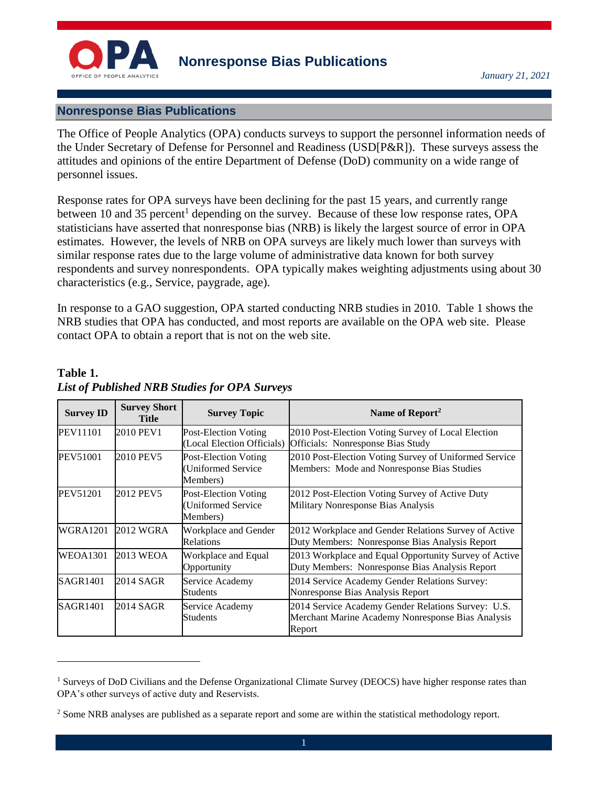

## **Nonresponse Bias Publications**

The Office of People Analytics (OPA) conducts surveys to support the personnel information needs of the Under Secretary of Defense for Personnel and Readiness (USD[P&R]). These surveys assess the attitudes and opinions of the entire Department of Defense (DoD) community on a wide range of personnel issues.

Response rates for OPA surveys have been declining for the past 15 years, and currently range between 10 and 35 percent<sup>1</sup> depending on the survey. Because of these low response rates, OPA statisticians have asserted that nonresponse bias (NRB) is likely the largest source of error in OPA estimates. However, the levels of NRB on OPA surveys are likely much lower than surveys with similar response rates due to the large volume of administrative data known for both survey respondents and survey nonrespondents. OPA typically makes weighting adjustments using about 30 characteristics (e.g., Service, paygrade, age).

In response to a GAO suggestion, OPA started conducting NRB studies in 2010. Table 1 shows the NRB studies that OPA has conducted, and most reports are available on the OPA web site. Please contact OPA to obtain a report that is not on the web site.

| <b>Survey ID</b> | <b>Survey Short</b><br>Title | <b>Survey Topic</b>                                           | Name of Report <sup>2</sup>                                                                                       |
|------------------|------------------------------|---------------------------------------------------------------|-------------------------------------------------------------------------------------------------------------------|
| <b>PEV11101</b>  | 2010 PEV1                    | Post-Election Voting<br>(Local Election Officials)            | 2010 Post-Election Voting Survey of Local Election<br>Officials: Nonresponse Bias Study                           |
| <b>PEV51001</b>  | 2010 PEV5                    | <b>Post-Election Voting</b><br>(Uniformed Service<br>Members) | 2010 Post-Election Voting Survey of Uniformed Service<br>Members: Mode and Nonresponse Bias Studies               |
| PEV51201         | 2012 PEV5                    | <b>Post-Election Voting</b><br>(Uniformed Service<br>Members) | 2012 Post-Election Voting Survey of Active Duty<br>Military Nonresponse Bias Analysis                             |
| WGRA1201         | 2012 WGRA                    | Workplace and Gender<br><b>Relations</b>                      | 2012 Workplace and Gender Relations Survey of Active<br>Duty Members: Nonresponse Bias Analysis Report            |
| <b>WEOA1301</b>  | 2013 WEOA                    | Workplace and Equal<br>Opportunity                            | 2013 Workplace and Equal Opportunity Survey of Active<br>Duty Members: Nonresponse Bias Analysis Report           |
| <b>SAGR1401</b>  | 2014 SAGR                    | Service Academy<br><b>Students</b>                            | 2014 Service Academy Gender Relations Survey:<br>Nonresponse Bias Analysis Report                                 |
| <b>SAGR1401</b>  | 2014 SAGR                    | Service Academy<br>Students                                   | 2014 Service Academy Gender Relations Survey: U.S.<br>Merchant Marine Academy Nonresponse Bias Analysis<br>Report |

## **Table 1.** *List of Published NRB Studies for OPA Surveys*

 $\overline{a}$ 

<sup>&</sup>lt;sup>1</sup> Surveys of DoD Civilians and the Defense Organizational Climate Survey (DEOCS) have higher response rates than OPA's other surveys of active duty and Reservists.

<sup>&</sup>lt;sup>2</sup> Some NRB analyses are published as a separate report and some are within the statistical methodology report.